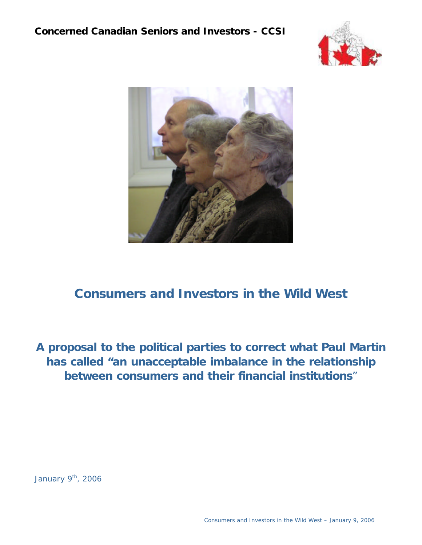



# **Consumers and Investors in the Wild West**

**A proposal to the political parties to correct what Paul Martin has called "an unacceptable imbalance in the relationship between consumers and their financial institutions**"

January  $9<sup>th</sup>$ , 2006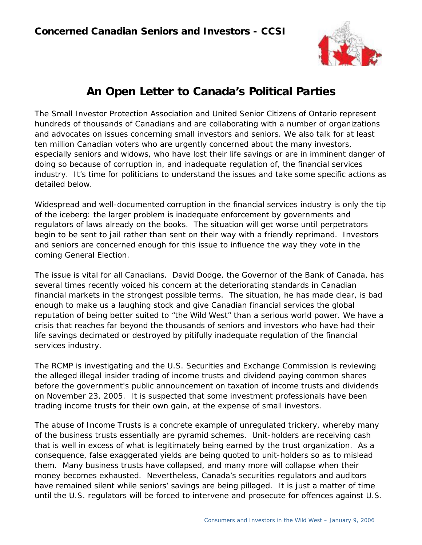

# *An Open Letter to Canada's Political Parties*

The Small Investor Protection Association and United Senior Citizens of Ontario represent hundreds of thousands of Canadians and are collaborating with a number of organizations and advocates on issues concerning small investors and seniors. We also talk for at least ten million Canadian voters who are urgently concerned about the many investors, especially seniors and widows, who have lost their life savings or are in imminent danger of doing so because of corruption in, and inadequate regulation of, the financial services industry. It's time for politicians to understand the issues and take some specific actions as detailed below.

Widespread and well-documented corruption in the financial services industry is only the tip of the iceberg: the larger problem is inadequate enforcement by governments and regulators of laws already on the books. The situation will get worse until perpetrators begin to be sent to jail rather than sent on their way with a friendly reprimand. Investors and seniors are concerned enough for this issue to influence the way they vote in the coming General Election.

The issue is vital for all Canadians. David Dodge, the Governor of the Bank of Canada, has several times recently voiced his concern at the deteriorating standards in Canadian financial markets in the strongest possible terms. The situation, he has made clear, is bad enough to make us a laughing stock and give Canadian financial services the global reputation of being better suited to "the Wild West" than a serious world power. We have a crisis that reaches far beyond the thousands of seniors and investors who have had their life savings decimated or destroyed by pitifully inadequate regulation of the financial services industry.

The RCMP is investigating and the U.S. Securities and Exchange Commission is reviewing the alleged illegal insider trading of income trusts and dividend paying common shares before the government's public announcement on taxation of income trusts and dividends on November 23, 2005. It is suspected that some investment professionals have been trading income trusts for their own gain, at the expense of small investors.

The abuse of Income Trusts is a concrete example of unregulated trickery, whereby many of the business trusts essentially are pyramid schemes. Unit-holders are receiving cash that is well in excess of what is legitimately being earned by the trust organization. As a consequence, false exaggerated yields are being quoted to unit-holders so as to mislead them. Many business trusts have collapsed, and many more will collapse when their money becomes exhausted. Nevertheless, Canada's securities regulators and auditors have remained silent while seniors' savings are being pillaged. It is just a matter of time until the U.S. regulators will be forced to intervene and prosecute for offences against U.S.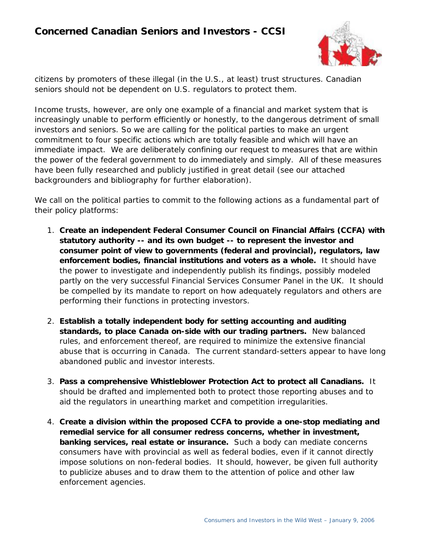## **Concerned Canadian Seniors and Investors - CCSI**



citizens by promoters of these illegal (in the U.S., at least) trust structures. Canadian seniors should not be dependent on U.S. regulators to protect them.

Income trusts, however, are only one example of a financial and market system that is increasingly unable to perform efficiently or honestly, to the dangerous detriment of small investors and seniors. So we are calling for the political parties to make an urgent commitment to four specific actions which are totally feasible and which will have an immediate impact. We are deliberately confining our request to measures that are within the power of the federal government to do immediately and simply. All of these measures have been fully researched and publicly justified in great detail (see our attached backgrounders and bibliography for further elaboration).

We call on the political parties to commit to the following actions as a fundamental part of their policy platforms:

- 1. *Create an independent Federal Consumer Council on Financial Affairs (CCFA) with statutory authority -- and its own budget -- to represent the investor and consumer point of view to governments (federal and provincial), regulators, law enforcement bodies, financial institutions and voters as a whole.* It should have the power to investigate and independently publish its findings, possibly modeled partly on the very successful Financial Services Consumer Panel in the UK. It should be compelled by its mandate to report on how adequately regulators and others are performing their functions in protecting investors.
- 2. *Establish a totally independent body for setting accounting and auditing standards, to place Canada on-side with our trading partners.* New balanced rules, and enforcement thereof, are required to minimize the extensive financial abuse that is occurring in Canada. The current standard-setters appear to have long abandoned public and investor interests.
- 3. *Pass a comprehensive Whistleblower Protection Act to protect all Canadians.* It should be drafted and implemented both to protect those reporting abuses and to aid the regulators in unearthing market and competition irregularities.
- 4. *Create a division within the proposed CCFA to provide a one-stop mediating and remedial service for all consumer redress concerns, whether in investment, banking services, real estate or insurance.* Such a body can mediate concerns consumers have with provincial as well as federal bodies, even if it cannot directly impose solutions on non-federal bodies. It should, however, be given full authority to publicize abuses and to draw them to the attention of police and other law enforcement agencies.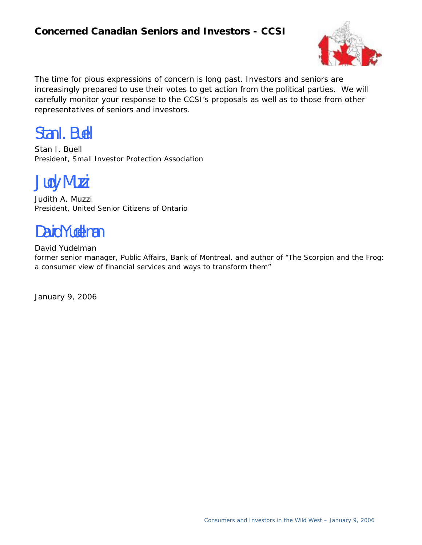# **Concerned Canadian Seniors and Investors - CCSI**



The time for pious expressions of concern is long past. Investors and seniors are increasingly prepared to use their votes to get action from the political parties. We will carefully monitor your response to the CCSI's proposals as well as to those from other representatives of seniors and investors.

Stan I. Buell

Stan I. Buell President, Small Investor Protection Association

Judy Muzzi

Judith A. Muzzi President, United Senior Citizens of Ontario

# David Yudelman

David Yudelman

former senior manager, Public Affairs, Bank of Montreal, and author of "The Scorpion and the Frog: a consumer view of financial services and ways to transform them"

January 9, 2006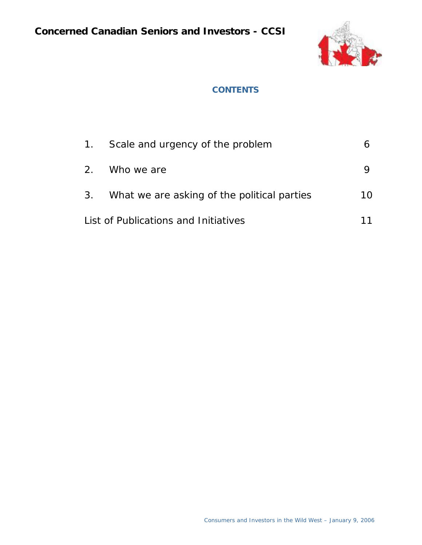

#### **CONTENTS**

|                                      | 1. Scale and urgency of the problem            |    |
|--------------------------------------|------------------------------------------------|----|
|                                      | 2. Who we are                                  |    |
|                                      | 3. What we are asking of the political parties | 10 |
| List of Publications and Initiatives |                                                |    |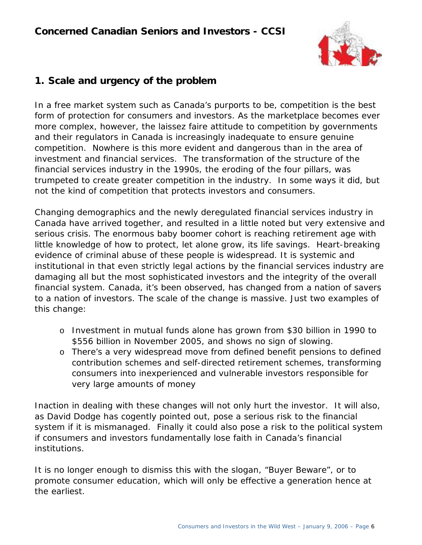

### **1. Scale and urgency of the problem**

In a free market system such as Canada's purports to be, competition is the best form of protection for consumers and investors. As the marketplace becomes ever more complex, however, the laissez faire attitude to competition by governments and their regulators in Canada is increasingly inadequate to ensure genuine competition. Nowhere is this more evident and dangerous than in the area of investment and financial services. The transformation of the structure of the financial services industry in the 1990s, the eroding of the four pillars, was trumpeted to create greater competition in the industry. In some ways it did, but not the kind of competition that protects investors and consumers.

Changing demographics and the newly deregulated financial services industry in Canada have arrived together, and resulted in a little noted but very extensive and serious crisis. The enormous baby boomer cohort is reaching retirement age with little knowledge of how to protect, let alone grow, its life savings. Heart-breaking evidence of criminal abuse of these people is widespread. It is systemic and institutional in that even strictly legal actions by the financial services industry are damaging all but the most sophisticated investors and the integrity of the overall financial system. Canada, it's been observed, has changed from a nation of savers to a nation of investors. The scale of the change is massive. Just two examples of this change:

- o Investment in mutual funds alone has grown from \$30 billion in 1990 to \$556 billion in November 2005, and shows no sign of slowing.
- o There's a very widespread move from defined benefit pensions to defined contribution schemes and self-directed retirement schemes, transforming consumers into inexperienced and vulnerable investors responsible for very large amounts of money

Inaction in dealing with these changes will not only hurt the investor. It will also, as David Dodge has cogently pointed out, pose a serious risk to the financial system if it is mismanaged. Finally it could also pose a risk to the political system if consumers and investors fundamentally lose faith in Canada's financial institutions.

It is no longer enough to dismiss this with the slogan, "Buyer Beware", or to promote consumer education, which will only be effective a generation hence at the earliest.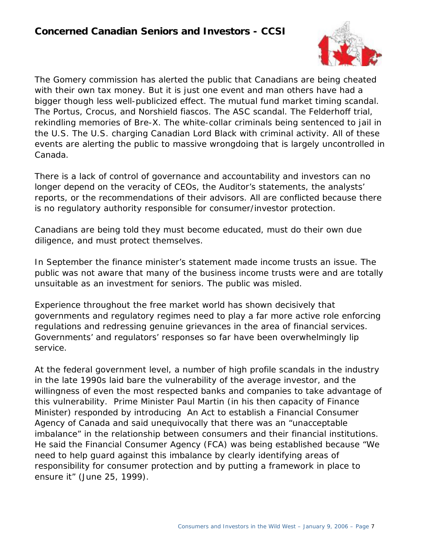

The Gomery commission has alerted the public that Canadians are being cheated with their own tax money. But it is just one event and man others have had a bigger though less well-publicized effect. The mutual fund market timing scandal. The Portus, Crocus, and Norshield fiascos. The ASC scandal. The Felderhoff trial, rekindling memories of Bre-X. The white-collar criminals being sentenced to jail in the U.S. The U.S. charging Canadian Lord Black with criminal activity. All of these events are alerting the public to massive wrongdoing that is largely uncontrolled in Canada.

There is a lack of control of governance and accountability and investors can no longer depend on the veracity of CEOs, the Auditor's statements, the analysts' reports, or the recommendations of their advisors. All are conflicted because there is no regulatory authority responsible for consumer/investor protection.

Canadians are being told they must become educated, must do their own due diligence, and must protect themselves.

In September the finance minister's statement made income trusts an issue. The public was not aware that many of the business income trusts were and are totally unsuitable as an investment for seniors. The public was misled.

Experience throughout the free market world has shown decisively that governments and regulatory regimes need to play a far more active role enforcing regulations and redressing genuine grievances in the area of financial services. Governments' and regulators' responses so far have been overwhelmingly lip service.

At the federal government level, a number of high profile scandals in the industry in the late 1990s laid bare the vulnerability of the average investor, and the willingness of even the most respected banks and companies to take advantage of this vulnerability. Prime Minister Paul Martin (in his then capacity of Finance Minister) responded by introducing *An Act to establish a Financial Consumer Agency of Canada* and said unequivocally that there was an "unacceptable imbalance" in the relationship between consumers and their financial institutions. He said the Financial Consumer Agency (FCA) was being established because "We need to help guard against this imbalance by clearly identifying areas of responsibility for consumer protection and by putting a framework in place to ensure it" (June 25, 1999).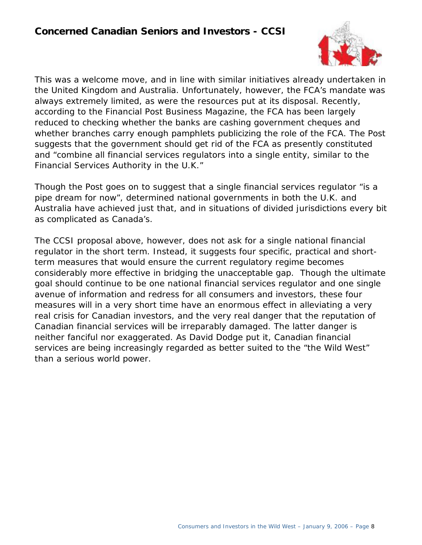

This was a welcome move, and in line with similar initiatives already undertaken in the United Kingdom and Australia. Unfortunately, however, the FCA's mandate was always extremely limited, as were the resources put at its disposal. Recently, according to the *Financial Post Business Magazine*, the FCA has been largely reduced to checking whether the banks are cashing government cheques and whether branches carry enough pamphlets publicizing the role of the FCA. The *Post* suggests that the government should get rid of the FCA as presently constituted and "combine all financial services regulators into a single entity, similar to the Financial Services Authority in the U.K."

Though the *Post* goes on to suggest that a single financial services regulator "is a pipe dream for now", determined national governments in both the U.K. and Australia have achieved just that, and in situations of divided jurisdictions every bit as complicated as Canada's.

The CCSI proposal above, however, does not ask for a single national financial regulator in the short term. Instead, it suggests four specific, practical and shortterm measures that would ensure the current regulatory regime becomes considerably more effective in bridging the unacceptable gap. Though the ultimate goal should continue to be one national financial services regulator and one single avenue of information and redress for all consumers and investors, these four measures will in a very short time have an enormous effect in alleviating a very real crisis for Canadian investors, and the very real danger that the reputation of Canadian financial services will be irreparably damaged. The latter danger is neither fanciful nor exaggerated. As David Dodge put it, Canadian financial services are being increasingly regarded as better suited to the "the Wild West" than a serious world power.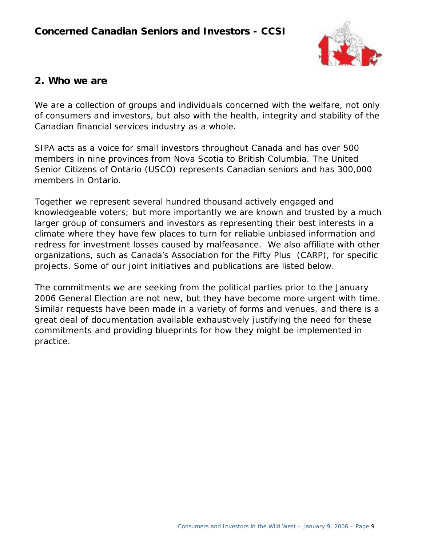

#### **2. Who we are**

We are a collection of groups and individuals concerned with the welfare, not only of consumers and investors, but also with the health, integrity and stability of the Canadian financial services industry as a whole.

SIPA acts as a voice for small investors throughout Canada and has over 500 members in nine provinces from Nova Scotia to British Columbia. The United Senior Citizens of Ontario (USCO) represents Canadian seniors and has 300,000 members in Ontario.

Together we represent several hundred thousand actively engaged and knowledgeable voters; but more importantly we are known and trusted by a much larger group of consumers and investors as representing their best interests in a climate where they have few places to turn for reliable unbiased information and redress for investment losses caused by malfeasance. We also affiliate with other organizations, such as Canada's Association for the Fifty Plus (CARP), for specific projects. Some of our joint initiatives and publications are listed below.

The commitments we are seeking from the political parties prior to the January 2006 General Election are not new, but they have become more urgent with time. Similar requests have been made in a variety of forms and venues, and there is a great deal of documentation available exhaustively justifying the need for these commitments and providing blueprints for how they might be implemented in practice.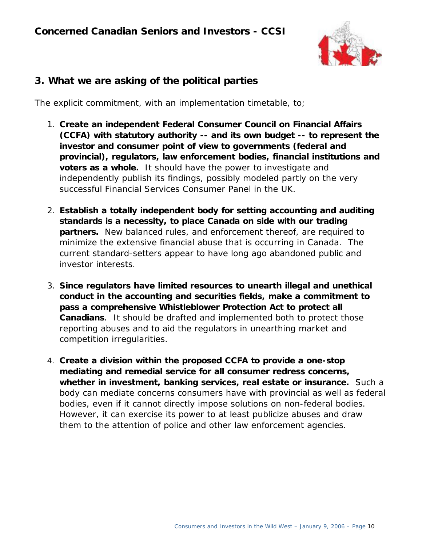

## **3. What we are asking of the political parties**

The explicit commitment, with an implementation timetable, to;

- 1. *Create an independent Federal Consumer Council on Financial Affairs (CCFA) with statutory authority -- and its own budget -- to represent the investor and consumer point of view to governments (federal and provincial), regulators, law enforcement bodies, financial institutions and voters as a whole.* It should have the power to investigate and independently publish its findings, possibly modeled partly on the very successful Financial Services Consumer Panel in the UK.
- 2. *Establish a totally independent body for setting accounting and auditing standards is a necessity, to place Canada on side with our trading partners.* New balanced rules, and enforcement thereof, are required to minimize the extensive financial abuse that is occurring in Canada. The current standard-setters appear to have long ago abandoned public and investor interests.
- 3. *Since regulators have limited resources to unearth illegal and unethical conduct in the accounting and securities fields, make a commitment to pass a comprehensive Whistleblower Protection Act to protect all Canadians*. It should be drafted and implemented both to protect those reporting abuses and to aid the regulators in unearthing market and competition irregularities.
- 4. *Create a division within the proposed CCFA to provide a one-stop mediating and remedial service for all consumer redress concerns, whether in investment, banking services, real estate or insurance.* Such a body can mediate concerns consumers have with provincial as well as federal bodies, even if it cannot directly impose solutions on non-federal bodies. However, it can exercise its power to at least publicize abuses and draw them to the attention of police and other law enforcement agencies.